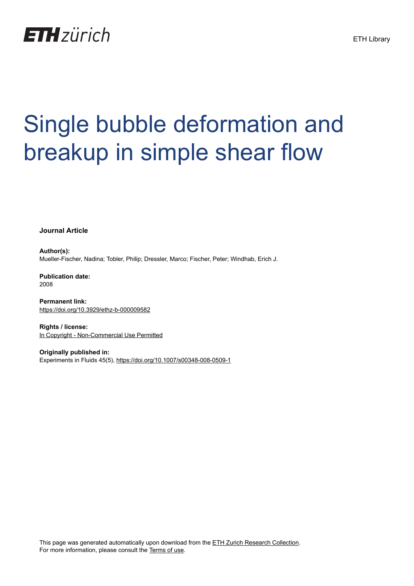

# Single bubble deformation and breakup in simple shear flow

**Journal Article**

**Author(s):** Mueller-Fischer, Nadina; Tobler, Philip; Dressler, Marco; Fischer, Peter; Windhab, Erich J.

**Publication date:** 2008

**Permanent link:** <https://doi.org/10.3929/ethz-b-000009582>

**Rights / license:** [In Copyright - Non-Commercial Use Permitted](http://rightsstatements.org/page/InC-NC/1.0/)

**Originally published in:** Experiments in Fluids 45(5),<https://doi.org/10.1007/s00348-008-0509-1>

This page was generated automatically upon download from the [ETH Zurich Research Collection.](https://www.research-collection.ethz.ch) For more information, please consult the [Terms of use](https://www.research-collection.ethz.ch/terms-of-use).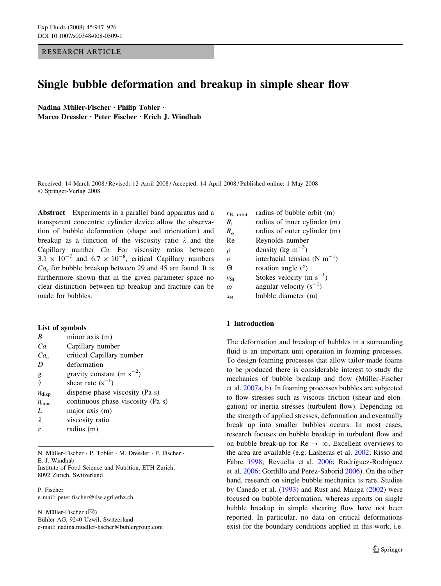RESEARCH ARTICLE

# Single bubble deformation and breakup in simple shear flow

Nadina Müller-Fischer · Philip Tobler · Marco Dressler · Peter Fischer · Erich J. Windhab

Received: 14 March 2008 / Revised: 12 April 2008 / Accepted: 14 April 2008 / Published online: 1 May 2008 Springer-Verlag 2008

Abstract Experiments in a parallel band apparatus and a transparent concentric cylinder device allow the observation of bubble deformation (shape and orientation) and breakup as a function of the viscosity ratio  $\lambda$  and the Capillary number Ca. For viscosity ratios between  $3.1 \times 10^{-7}$  and  $6.7 \times 10^{-8}$ , critical Capillary numbers  $Ca<sub>c</sub>$  for bubble breakup between 29 and 45 are found. It is furthermore shown that in the given parameter space no clear distinction between tip breakup and fracture can be made for bubbles.

#### List of symbols

| B                 | minor axis (m)                    |
|-------------------|-----------------------------------|
| Ca                | Capillary number                  |
| Ca <sub>c</sub>   | critical Capillary number         |
| D                 | deformation                       |
| g                 | gravity constant (m $s^{-2}$ )    |
| $\dot{\gamma}$    | shear rate $(s^{-1})$             |
| $\eta_{\rm disp}$ | disperse phase viscosity (Pa s)   |
| $\eta_{\rm cont}$ | continuous phase viscosity (Pa s) |
| L                 | major axis (m)                    |
| λ                 | viscosity ratio                   |
| r                 | radius (m)                        |
|                   |                                   |

N. Müller-Fischer · P. Tobler · M. Dressler · P. Fischer · E. J. Windhab Institute of Food Science and Nutrition, ETH Zurich, 8092 Zurich, Switzerland

P. Fischer e-mail: peter.fischer@ilw.agrl.ethz.ch

N. Müller-Fischer  $(\boxtimes)$ Bühler AG, 9240 Uzwil, Switzerland e-mail: nadina.mueller-fischer@buhlergroup.com

| $r_{\rm B, orbit}$         | radius of bubble orbit (m)                 |  |  |
|----------------------------|--------------------------------------------|--|--|
| $R_i$                      | radius of inner cylinder (m)               |  |  |
| $R_{\alpha}$               | radius of outer cylinder (m)               |  |  |
| Re                         | Reynolds number                            |  |  |
| $\rho$                     | density (kg m <sup><math>-3</math></sup> ) |  |  |
| σ                          | interfacial tension (N m <sup>-1</sup> )   |  |  |
| Θ                          | rotation angle $(°)$                       |  |  |
| $v_{\rm St}$               | Stokes velocity (m $s^{-1}$ )              |  |  |
| $\omega$                   | angular velocity $(s^{-1})$                |  |  |
| $\mathcal{X}_{\mathbf{R}}$ | bubble diameter (m)                        |  |  |

## 1 Introduction

The deformation and breakup of bubbles in a surrounding fluid is an important unit operation in foaming processes. To design foaming processes that allow tailor-made foams to be produced there is considerable interest to study the mechanics of bubble breakup and flow (Müller-Fischer et al. [2007a](#page-10-0), [b](#page-10-0)). In foaming processes bubbles are subjected to flow stresses such as viscous friction (shear and elongation) or inertia stresses (turbulent flow). Depending on the strength of applied stresses, deformation and eventually break up into smaller bubbles occurs. In most cases, research focuses on bubble breakup in turbulent flow and on bubble break-up for  $\text{Re} \rightarrow \infty$ . Excellent overviews to the area are available (e.g. Lasheras et al. [2002;](#page-10-0) Risso and Fabre [1998](#page-10-0); Revuelta et al. [2006](#page-10-0); Rodríguez-Rodríguez et al. [2006;](#page-10-0) Gordillo and Perez-Saborid [2006](#page-10-0)). On the other hand, research on single bubble mechanics is rare. Studies by Canedo et al. [\(1993](#page-10-0)) and Rust and Manga [\(2002](#page-10-0)) were focused on bubble deformation, whereas reports on single bubble breakup in simple shearing flow have not been reported. In particular, no data on critical deformations exist for the boundary conditions applied in this work, i.e.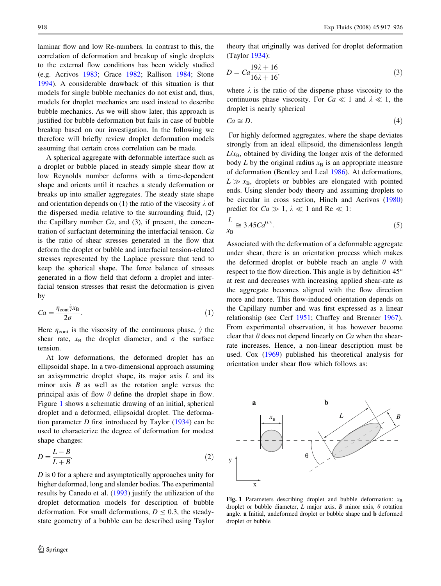<span id="page-2-0"></span>laminar flow and low Re-numbers. In contrast to this, the correlation of deformation and breakup of single droplets to the external flow conditions has been widely studied (e.g. Acrivos [1983;](#page-10-0) Grace [1982](#page-10-0); Rallison [1984;](#page-10-0) Stone [1994\)](#page-10-0). A considerable drawback of this situation is that models for single bubble mechanics do not exist and, thus, models for droplet mechanics are used instead to describe bubble mechanics. As we will show later, this approach is justified for bubble deformation but fails in case of bubble breakup based on our investigation. In the following we therefore will briefly review droplet deformation models assuming that certain cross correlation can be made.

A spherical aggregate with deformable interface such as a droplet or bubble placed in steady simple shear flow at low Reynolds number deforms with a time-dependent shape and orients until it reaches a steady deformation or breaks up into smaller aggregates. The steady state shape and orientation depends on (1) the ratio of the viscosity  $\lambda$  of the dispersed media relative to the surrounding fluid, (2) the Capillary number  $Ca$ , and  $(3)$ , if present, the concentration of surfactant determining the interfacial tension. Ca is the ratio of shear stresses generated in the flow that deform the droplet or bubble and interfacial tension-related stresses represented by the Laplace pressure that tend to keep the spherical shape. The force balance of stresses generated in a flow field that deform a droplet and interfacial tension stresses that resist the deformation is given by

$$
Ca = \frac{\eta_{\text{cont}} \dot{\gamma} x_{\text{B}}}{2\sigma}.
$$
 (1)

Here  $\eta_{\text{cont}}$  is the viscosity of the continuous phase,  $\dot{\gamma}$  the shear rate,  $x_B$  the droplet diameter, and  $\sigma$  the surface tension.

At low deformations, the deformed droplet has an ellipsoidal shape. In a two-dimensional approach assuming an axisymmetric droplet shape, its major axis  $L$  and its minor axis  $B$  as well as the rotation angle versus the principal axis of flow  $\theta$  define the droplet shape in flow. Figure 1 shows a schematic drawing of an initial, spherical droplet and a deformed, ellipsoidal droplet. The deformation parameter  $D$  first introduced by Taylor ([1934\)](#page-10-0) can be used to characterize the degree of deformation for modest shape changes:

$$
D = \frac{L - B}{L + B}.\tag{2}
$$

D is 0 for a sphere and asymptotically approaches unity for higher deformed, long and slender bodies. The experimental results by Canedo et al. ([1993\)](#page-10-0) justify the utilization of the droplet deformation models for description of bubble deformation. For small deformations,  $D \le 0.3$ , the steadystate geometry of a bubble can be described using Taylor

theory that originally was derived for droplet deformation (Taylor [1934\)](#page-10-0):

$$
D = Ca\frac{19\lambda + 16}{16\lambda + 16},\tag{3}
$$

where  $\lambda$  is the ratio of the disperse phase viscosity to the continuous phase viscosity. For  $Ca \ll 1$  and  $\lambda \ll 1$ , the droplet is nearly spherical

$$
Ca \cong D. \tag{4}
$$

For highly deformed aggregates, where the shape deviates strongly from an ideal ellipsoid, the dimensionless length  $L/x_B$ , obtained by dividing the longer axis of the deformed body  $L$  by the original radius  $x<sub>B</sub>$  is an appropriate measure of deformation (Bentley and Leal [1986\)](#page-10-0). At deformations,  $L \gg x_B$ , droplets or bubbles are elongated with pointed ends. Using slender body theory and assuming droplets to be circular in cross section, Hinch and Acrivos ([1980\)](#page-10-0) predict for  $Ca \gg 1$ ,  $\lambda \ll 1$  and Re  $\ll 1$ :

$$
\frac{L}{x_B} \cong 3.45 Ca^{0.5}.
$$
\n<sup>(5)</sup>

Associated with the deformation of a deformable aggregate under shear, there is an orientation process which makes the deformed droplet or bubble reach an angle  $\theta$  with respect to the flow direction. This angle is by definition  $45^\circ$ at rest and decreases with increasing applied shear-rate as the aggregate becomes aligned with the flow direction more and more. This flow-induced orientation depends on the Capillary number and was first expressed as a linear relationship (see Cerf [1951;](#page-10-0) Chaffey and Brenner [1967](#page-10-0)). From experimental observation, it has however become clear that  $\theta$  does not depend linearly on Ca when the shearrate increases. Hence, a non-linear description must be used. Cox ([1969\)](#page-10-0) published his theoretical analysis for orientation under shear flow which follows as:



Fig. 1 Parameters describing droplet and bubble deformation:  $x_B$ droplet or bubble diameter, L major axis, B minor axis,  $\theta$  rotation angle. a Initial, undeformed droplet or bubble shape and b deformed droplet or bubble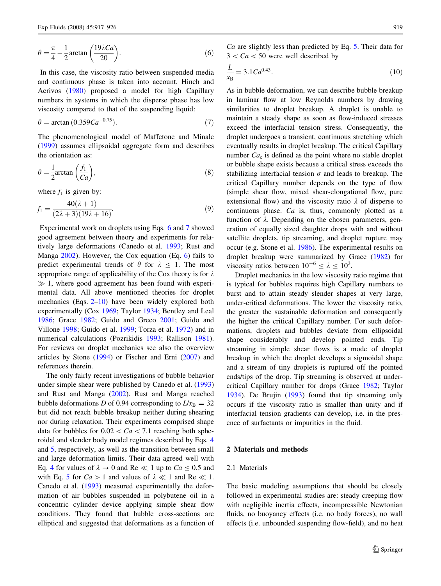<span id="page-3-0"></span>
$$
\theta = \frac{\pi}{4} - \frac{1}{2}\arctan\left(\frac{19\lambda Ca}{20}\right). \tag{6}
$$

In this case, the viscosity ratio between suspended media and continuous phase is taken into account. Hinch and Acrivos ([1980\)](#page-10-0) proposed a model for high Capillary numbers in systems in which the disperse phase has low viscosity compared to that of the suspending liquid:

$$
\theta = \arctan(0.359Ca^{-0.75}).
$$
\n(7)

The phenomenological model of Maffetone and Minale [\(1999](#page-10-0)) assumes ellipsoidal aggregate form and describes the orientation as:

$$
\theta = \frac{1}{2} \arctan\left(\frac{f_1}{Ca}\right),\tag{8}
$$

where  $f_1$  is given by:

$$
f_1 = \frac{40(\lambda + 1)}{(2\lambda + 3)(19\lambda + 16)}.\tag{9}
$$

Experimental work on droplets using Eqs. 6 and 7 showed good agreement between theory and experiments for relatively large deformations (Canedo et al. [1993](#page-10-0); Rust and Manga [2002](#page-10-0)). However, the Cox equation (Eq. 6) fails to predict experimental trends of  $\theta$  for  $\lambda \leq 1$ . The most appropriate range of applicability of the Cox theory is for  $\lambda$  $\gg$  1, where good agreement has been found with experimental data. All above mentioned theories for droplet mechanics (Eqs. [2–](#page-2-0)10) have been widely explored both experimentally (Cox [1969](#page-10-0); Taylor [1934](#page-10-0); Bentley and Leal [1986;](#page-10-0) Grace [1982](#page-10-0); Guido and Greco [2001](#page-10-0); Guido and Villone [1998](#page-10-0); Guido et al. [1999;](#page-10-0) Torza et al. [1972](#page-10-0)) and in numerical calculations (Pozrikidis [1993](#page-10-0); Rallison [1981](#page-10-0)). For reviews on droplet mechanics see also the overview articles by Stone [\(1994](#page-10-0)) or Fischer and Erni [\(2007](#page-10-0)) and references therein.

The only fairly recent investigations of bubble behavior under simple shear were published by Canedo et al. ([1993\)](#page-10-0) and Rust and Manga [\(2002](#page-10-0)). Rust and Manga reached bubble deformations D of 0.94 corresponding to  $L/x<sub>B</sub> = 32$ but did not reach bubble breakup neither during shearing nor during relaxation. Their experiments comprised shape data for bubbles for  $0.02 < Ca < 7.1$  reaching both spheroidal and slender body model regimes described by Eqs. [4](#page-2-0) and [5](#page-2-0), respectively, as well as the transition between small and large deformation limits. Their data agreed well with Eq. [4](#page-2-0) for values of  $\lambda \to 0$  and Re  $\ll 1$  up to  $Ca \le 0.5$  and with Eq. [5](#page-2-0) for  $Ca > 1$  and values of  $\lambda \ll 1$  and Re  $\ll 1$ . Canedo et al. ([1993\)](#page-10-0) measured experimentally the deformation of air bubbles suspended in polybutene oil in a concentric cylinder device applying simple shear flow conditions. They found that bubble cross-sections are elliptical and suggested that deformations as a function of

Ca are slightly less than predicted by Eq. [5.](#page-2-0) Their data for  $3 < Ca < 50$  were well described by

$$
\frac{L}{x_{\rm B}} = 3.1 Ca^{0.43}.\tag{10}
$$

As in bubble deformation, we can describe bubble breakup in laminar flow at low Reynolds numbers by drawing similarities to droplet breakup. A droplet is unable to maintain a steady shape as soon as flow-induced stresses exceed the interfacial tension stress. Consequently, the droplet undergoes a transient, continuous stretching which eventually results in droplet breakup. The critical Capillary number  $Ca<sub>c</sub>$  is defined as the point where no stable droplet or bubble shape exists because a critical stress exceeds the stabilizing interfacial tension  $\sigma$  and leads to breakup. The critical Capillary number depends on the type of flow (simple shear flow, mixed shear-elongational flow, pure extensional flow) and the viscosity ratio  $\lambda$  of disperse to continuous phase. Ca is, thus, commonly plotted as a function of  $\lambda$ . Depending on the chosen parameters, generation of equally sized daughter drops with and without satellite droplets, tip streaming, and droplet rupture may occur (e.g. Stone et al. [1986\)](#page-10-0). The experimental results on droplet breakup were summarized by Grace [\(1982](#page-10-0)) for viscosity ratios between  $10^{-6} \le \lambda \le 10^3$ .

Droplet mechanics in the low viscosity ratio regime that is typical for bubbles requires high Capillary numbers to burst and to attain steady slender shapes at very large, under-critical deformations. The lower the viscosity ratio, the greater the sustainable deformation and consequently the higher the critical Capillary number. For such deformations, droplets and bubbles deviate from ellipsoidal shape considerably and develop pointed ends. Tip streaming in simple shear flows is a mode of droplet breakup in which the droplet develops a sigmoidal shape and a stream of tiny droplets is ruptured off the pointed ends/tips of the drop. Tip streaming is observed at undercritical Capillary number for drops (Grace [1982](#page-10-0); Taylor [1934](#page-10-0)). De Brujin [\(1993](#page-10-0)) found that tip streaming only occurs if the viscosity ratio is smaller than unity and if interfacial tension gradients can develop, i.e. in the presence of surfactants or impurities in the fluid.

# 2 Materials and methods

#### 2.1 Materials

The basic modeling assumptions that should be closely followed in experimental studies are: steady creeping flow with negligible inertia effects, incompressible Newtonian fluids, no buoyancy effects (i.e. no body forces), no wall effects (i.e. unbounded suspending flow-field), and no heat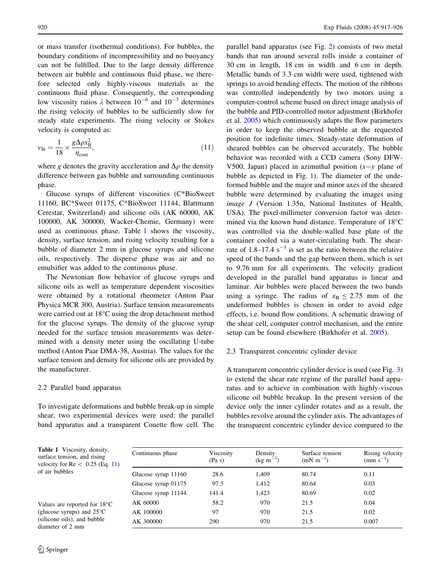or mass transfer (isothermal conditions). For bubbles, the boundary conditions of incompressibility and no buoyancy can not be fulfilled. Due to the large density difference between air bubble and continuous fluid phase, we therefore selected only highly-viscous materials as the continuous fluid phase. Consequently, the corresponding low viscosity ratios  $\lambda$  between  $10^{-6}$  and  $10^{-7}$  determines the rising velocity of bubbles to be sufficiently slow for steady state experiments. The rising velocity or Stokes velocity is computed as:

$$
v_{\rm St} = \frac{1}{18} \times \frac{g\Delta\rho x_{\rm B}^2}{\eta_{\rm cont}},\tag{11}
$$

where g denotes the gravity acceleration and  $\Delta \rho$  the density difference between gas bubble and surrounding continuous phase.

Glucose syrups of different viscosities (C\*BioSweet 11160, BC\*Sweet 01175, C\*BioSweet 11144, Blattmann Cerestar, Switzerland) and silicone oils (AK 60000, AK 100000, AK 300000, Wacker-Chemie, Germany) were used as continuous phase. Table 1 shows the viscosity, density, surface tension, and rising velocity resulting for a bubble of diameter 2 mm in glucose syrups and silicone oils, respectively. The disperse phase was air and no emulsifier was added to the continuous phase.

The Newtonian flow behavior of glucose syrups and silicone oils as well as temperature dependent viscosities were obtained by a rotational rheometer (Anton Paar Physica MCR 300, Austria). Surface tension measurements were carried out at 18°C using the drop detachment method for the glucose syrups. The density of the glucose syrup needed for the surface tension measurements was determined with a density meter using the oscillating U-tube method (Anton Paar DMA-38, Austria). The values for the surface tension and density for silicone oils are provided by the manufacturer.

#### 2.2 Parallel band apparatus

To investigate deformations and bubble break-up in simple shear, two experimental devices were used: the parallel band apparatus and a transparent Couette flow cell. The parallel band apparatus (see Fig. [2](#page-5-0)) consists of two metal bands that run around several rolls inside a container of 30 cm in length, 18 cm in width and 6 cm in depth. Metallic bands of 3.3 cm width were used, tightened with springs to avoid bending effects. The motion of the ribbons was controlled independently by two motors using a computer-control scheme based on direct image analysis of the bubble and PID-controlled motor adjustment (Birkhofer et al. [2005](#page-10-0)) which continuously adapts the flow parameters in order to keep the observed bubble at the requested position for indefinite times. Steady-state deformation of sheared bubbles can be observed accurately. The bubble behavior was recorded with a CCD camera (Sony DFW-V500, Japan) placed in azimuthal position  $(x-y)$  plane of bubble as depicted in Fig. [1\)](#page-2-0). The diameter of the undeformed bubble and the major and minor axes of the sheared bubble were determined by evaluating the images using image J (Version 1.35n, National Institutes of Health, USA). The pixel-millimeter conversion factor was determined via the known band distance. Temperature of 18°C was controlled via the double-walled base plate of the container cooled via a water-circulating bath. The shearrate of 1.8–17.4  $s^{-1}$  is set as the ratio between the relative speed of the bands and the gap between them, which is set to 9.76 mm for all experiments. The velocity gradient developed in the parallel band apparatus is linear and laminar. Air bubbles were placed between the two bands using a syringe. The radius of  $x_B \le 2.75$  mm of the undeformed bubbles is chosen in order to avoid edge effects, i.e. bound flow conditions. A schematic drawing of the shear cell, computer control mechanism, and the entire setup can be found elsewhere (Birkhofer et al. [2005\)](#page-10-0).

### 2.3 Transparent concentric cylinder device

A transparent concentric cylinder device is used (see Fig. [3\)](#page-5-0) to extend the shear rate regime of the parallel band apparatus and to achieve in combination with highly-viscous silicone oil bubble breakup. In the present version of the device only the inner cylinder rotates and as a result, the bubbles revolve around the cylinder axis. The advantages of the transparent concentric cylinder device compared to the

Table 1 Viscosity, density, surface tension, and rising velocity for  $Re < 0.25$  (Eq. 11) of air bubbles

Values are reported for 18°C (glucose syrups) and 25°C (silicone oils), and bubble diameter of 2 mm

| Continuous phase    | Viscosity<br>(Pa s) | Density<br>$(kg \, m^{-3})$ | Surface tension<br>$(mN m^{-1})$ | Rising velocity<br>$(mm s^{-1})$ |
|---------------------|---------------------|-----------------------------|----------------------------------|----------------------------------|
| Glucose syrup 11160 | 28.6                | 1,409                       | 80.74                            | 0.11                             |
| Glucose syrup 01175 | 97.3                | 1,412                       | 80.64                            | 0.03                             |
| Glucose syrup 11144 | 141.4               | 1,423                       | 80.69                            | 0.02                             |
| AK 60000            | 58.2                | 970                         | 21.5                             | 0.04                             |
| AK 100000           | 97                  | 970                         | 21.5                             | 0.02                             |
| AK 300000           | 290                 | 970                         | 21.5                             | 0.007                            |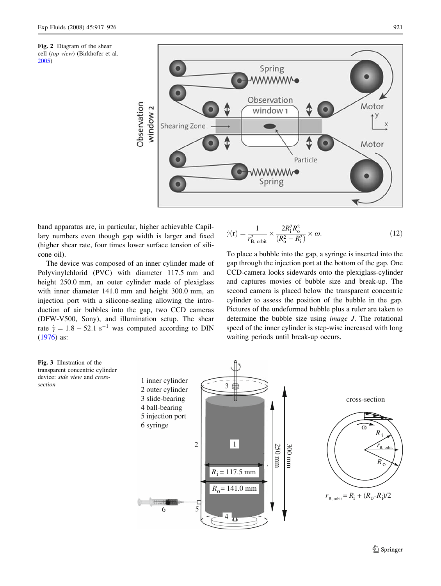<span id="page-5-0"></span>Fig. 2 Diagram of the shear cell (top view) (Birkhofer et al. [2005\)](#page-10-0)



band apparatus are, in particular, higher achievable Capillary numbers even though gap width is larger and fixed (higher shear rate, four times lower surface tension of silicone oil).

The device was composed of an inner cylinder made of Polyvinylchlorid (PVC) with diameter 117.5 mm and height 250.0 mm, an outer cylinder made of plexiglass with inner diameter 141.0 mm and height 300.0 mm, an injection port with a silicone-sealing allowing the introduction of air bubbles into the gap, two CCD cameras (DFW-V500, Sony), and illumination setup. The shear rate  $\dot{\gamma} = 1.8 - 52.1 \text{ s}^{-1}$  was computed according to DIN [\(1976](#page-10-0)) as:



To place a bubble into the gap, a syringe is inserted into the gap through the injection port at the bottom of the gap. One CCD-camera looks sidewards onto the plexiglass-cylinder and captures movies of bubble size and break-up. The second camera is placed below the transparent concentric cylinder to assess the position of the bubble in the gap. Pictures of the undeformed bubble plus a ruler are taken to determine the bubble size using image J. The rotational speed of the inner cylinder is step-wise increased with long waiting periods until break-up occurs.

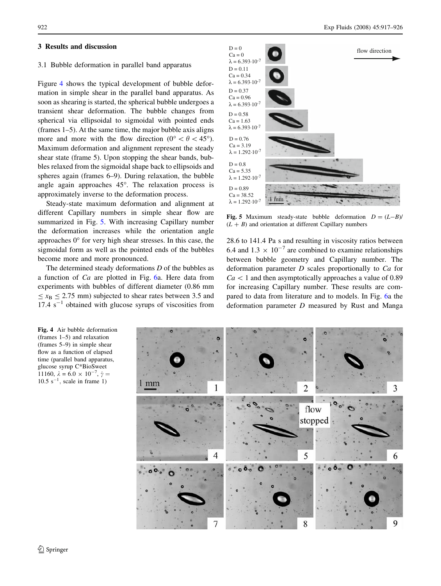#### <span id="page-6-0"></span>3 Results and discussion

### 3.1 Bubble deformation in parallel band apparatus

Figure 4 shows the typical development of bubble deformation in simple shear in the parallel band apparatus. As soon as shearing is started, the spherical bubble undergoes a transient shear deformation. The bubble changes from spherical via ellipsoidal to sigmoidal with pointed ends (frames 1–5). At the same time, the major bubble axis aligns more and more with the flow direction ( $0^{\circ} < \theta < 45^{\circ}$ ). Maximum deformation and alignment represent the steady shear state (frame 5). Upon stopping the shear bands, bubbles relaxed from the sigmoidal shape back to ellipsoids and spheres again (frames 6–9). During relaxation, the bubble angle again approaches 45°. The relaxation process is approximately inverse to the deformation process.

Steady-state maximum deformation and alignment at different Capillary numbers in simple shear flow are summarized in Fig. 5. With increasing Capillary number the deformation increases while the orientation angle approaches  $0^{\circ}$  for very high shear stresses. In this case, the sigmoidal form as well as the pointed ends of the bubbles become more and more pronounced.

The determined steady deformations  $D$  of the bubbles as a function of Ca are plotted in Fig. [6a](#page-7-0). Here data from experiments with bubbles of different diameter (0.86 mm  $\epsilon < x_{\rm B}$   $\epsilon$  2.75 mm) subjected to shear rates between 3.5 and  $17.4 \text{ s}^{-1}$  obtained with glucose syrups of viscosities from



Fig. 5 Maximum steady-state bubble deformation  $D = (L-B)$  $(L + B)$  and orientation at different Capillary numbers

28.6 to 141.4 Pa s and resulting in viscosity ratios between 6.4 and  $1.3 \times 10^{-7}$  are combined to examine relationships between bubble geometry and Capillary number. The deformation parameter D scales proportionally to Ca for  $Ca<1$  and then asymptotically approaches a value of 0.89 for increasing Capillary number. These results are compared to data from literature and to models. In Fig. [6](#page-7-0)a the deformation parameter D measured by Rust and Manga



Fig. 4 Air bubble deformation (frames 1–5) and relaxation (frames 5–9) in simple shear flow as a function of elapsed time (parallel band apparatus, glucose syrup C\*BioSweet 11160,  $\lambda = 6.0 \times 10^{-7}$ ,  $\gamma =$  $10.5$  s<sup>-1</sup>, scale in frame 1)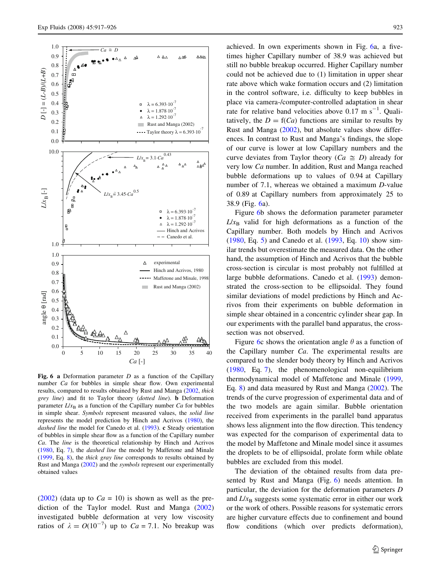<span id="page-7-0"></span>

Fig. 6 a Deformation parameter  $D$  as a function of the Capillary number Ca for bubbles in simple shear flow. Own experimental results, compared to results obtained by Rust and Manga [\(2002](#page-10-0), thick grey line) and fit to Taylor theory (dotted line). b Deformation parameter  $L/x_B$  as a function of the Capillary number Ca for bubbles in simple shear. Symbols represent measured values, the solid line represents the model prediction by Hinch and Acrivos [\(1980\)](#page-10-0), the dashed line the model for Canedo et al. [\(1993\)](#page-10-0). c Steady orientation of bubbles in simple shear flow as a function of the Capillary number Ca. The line is the theoretical relationship by Hinch and Acrivos ([1980,](#page-10-0) Eq. [7\)](#page-3-0), the dashed line the model by Maffetone and Minale ([1999,](#page-10-0) Eq. [8\)](#page-3-0), the thick gray line corresponds to results obtained by Rust and Manga [\(2002](#page-10-0)) and the *symbols* represent our experimentally obtained values

[\(2002](#page-10-0)) (data up to  $Ca = 10$ ) is shown as well as the prediction of the Taylor model. Rust and Manga ([2002\)](#page-10-0) investigated bubble deformation at very low viscosity ratios of  $\lambda = O(10^{-7})$  up to  $Ca = 7.1$ . No breakup was

achieved. In own experiments shown in Fig. 6a, a fivetimes higher Capillary number of 38.9 was achieved but still no bubble breakup occurred. Higher Capillary number could not be achieved due to (1) limitation in upper shear rate above which wake formation occurs and (2) limitation in the control software, i.e. difficulty to keep bubbles in place via camera-/computer-controlled adaptation in shear rate for relative band velocities above 0.17 m  $s^{-1}$ . Qualitatively, the  $D = f(Ca)$  functions are similar to results by Rust and Manga [\(2002](#page-10-0)), but absolute values show differences. In contrast to Rust and Manga's findings, the slope of our curve is lower at low Capillary numbers and the curve deviates from Taylor theory ( $Ca \cong D$ ) already for very low Ca number. In addition, Rust and Manga reached bubble deformations up to values of 0.94 at Capillary number of 7.1, whereas we obtained a maximum D-value of 0.89 at Capillary numbers from approximately 25 to 38.9 (Fig. 6a).

Figure 6b shows the deformation parameter parameter  $L/x_B$  valid for high deformations as a function of the Capillary number. Both models by Hinch and Acrivos [\(1980](#page-10-0), Eq. [5](#page-2-0)) and Canedo et al. ([1993,](#page-10-0) Eq. [10](#page-3-0)) show similar trends but overestimate the measured data. On the other hand, the assumption of Hinch and Acrivos that the bubble cross-section is circular is most probably not fulfilled at large bubble deformations. Canedo et al. ([1993\)](#page-10-0) demonstrated the cross-section to be ellipsoidal. They found similar deviations of model predictions by Hinch and Acrivos from their experiments on bubble deformation in simple shear obtained in a concentric cylinder shear gap. In our experiments with the parallel band apparatus, the crosssection was not observed.

Figure 6c shows the orientation angle  $\theta$  as a function of the Capillary number Ca. The experimental results are compared to the slender body theory by Hinch and Acrivos [\(1980](#page-10-0), Eq. [7](#page-3-0)), the phenomenological non-equilibrium thermodynamical model of Maffetone and Minale ([1999,](#page-10-0) Eq. [8](#page-3-0)) and data measured by Rust and Manga ([2002\)](#page-10-0). The trends of the curve progression of experimental data and of the two models are again similar. Bubble orientation received from experiments in the parallel band apparatus shows less alignment into the flow direction. This tendency was expected for the comparison of experimental data to the model by Maffetone and Minale model since it assumes the droplets to be of ellipsoidal, prolate form while oblate bubbles are excluded from this model.

The deviation of the obtained results from data presented by Rust and Manga (Fig. 6) needs attention. In particular, the deviation for the deformation parameters D and  $L/x_B$  suggests some systematic error in either our work or the work of others. Possible reasons for systematic errors are higher curvature effects due to confinement and bound flow conditions (which over predicts deformation),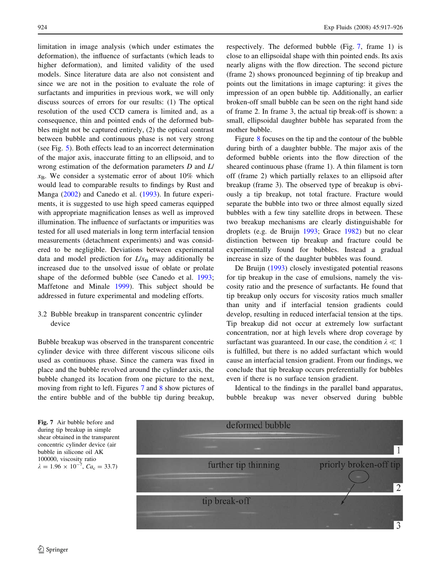limitation in image analysis (which under estimates the deformation), the influence of surfactants (which leads to higher deformation), and limited validity of the used models. Since literature data are also not consistent and since we are not in the position to evaluate the role of surfactants and impurities in previous work, we will only discuss sources of errors for our results: (1) The optical resolution of the used CCD camera is limited and, as a consequence, thin and pointed ends of the deformed bubbles might not be captured entirely, (2) the optical contrast between bubble and continuous phase is not very strong (see Fig. [5\)](#page-6-0). Both effects lead to an incorrect determination of the major axis, inaccurate fitting to an ellipsoid, and to wrong estimation of the deformation parameters D and L/  $x_B$ . We consider a systematic error of about 10% which would lead to comparable results to findings by Rust and Manga ([2002\)](#page-10-0) and Canedo et al. ([1993\)](#page-10-0). In future experiments, it is suggested to use high speed cameras equipped with appropriate magnification lenses as well as improved illumination. The influence of surfactants or impurities was tested for all used materials in long term interfacial tension measurements (detachment experiments) and was considered to be negligible. Deviations between experimental data and model prediction for  $L/x_B$  may additionally be increased due to the unsolved issue of oblate or prolate shape of the deformed bubble (see Canedo et al. [1993](#page-10-0); Maffetone and Minale [1999](#page-10-0)). This subject should be addressed in future experimental and modeling efforts.

# 3.2 Bubble breakup in transparent concentric cylinder device

Bubble breakup was observed in the transparent concentric cylinder device with three different viscous silicone oils used as continuous phase. Since the camera was fixed in place and the bubble revolved around the cylinder axis, the bubble changed its location from one picture to the next, moving from right to left. Figures 7 and [8](#page-9-0) show pictures of the entire bubble and of the bubble tip during breakup, respectively. The deformed bubble (Fig. 7, frame 1) is close to an ellipsoidal shape with thin pointed ends. Its axis nearly aligns with the flow direction. The second picture (frame 2) shows pronounced beginning of tip breakup and points out the limitations in image capturing: it gives the impression of an open bubble tip. Additionally, an earlier broken-off small bubble can be seen on the right hand side of frame 2. In frame 3, the actual tip break-off is shown: a small, ellipsoidal daughter bubble has separated from the mother bubble.

Figure [8](#page-9-0) focuses on the tip and the contour of the bubble during birth of a daughter bubble. The major axis of the deformed bubble orients into the flow direction of the sheared continuous phase (frame 1). A thin filament is torn off (frame 2) which partially relaxes to an ellipsoid after breakup (frame 3). The observed type of breakup is obviously a tip breakup, not total fracture. Fracture would separate the bubble into two or three almost equally sized bubbles with a few tiny satellite drops in between. These two breakup mechanisms are clearly distinguishable for droplets (e.g. de Bruijn [1993](#page-10-0); Grace [1982](#page-10-0)) but no clear distinction between tip breakup and fracture could be experimentally found for bubbles. Instead a gradual increase in size of the daughter bubbles was found.

De Bruijn [\(1993](#page-10-0)) closely investigated potential reasons for tip breakup in the case of emulsions, namely the viscosity ratio and the presence of surfactants. He found that tip breakup only occurs for viscosity ratios much smaller than unity and if interfacial tension gradients could develop, resulting in reduced interfacial tension at the tips. Tip breakup did not occur at extremely low surfactant concentration, nor at high levels where drop coverage by surfactant was guaranteed. In our case, the condition  $\lambda \ll 1$ is fulfilled, but there is no added surfactant which would cause an interfacial tension gradient. From our findings, we conclude that tip breakup occurs preferentially for bubbles even if there is no surface tension gradient.

Identical to the findings in the parallel band apparatus, bubble breakup was never observed during bubble

Fig. 7 Air bubble before and during tip breakup in simple shear obtained in the transparent concentric cylinder device (air bubble in silicone oil AK 100000, viscosity ratio  $\lambda = 1.96 \times 10^{-7}$ ,  $Ca_{\rm c} = 33.7$ )

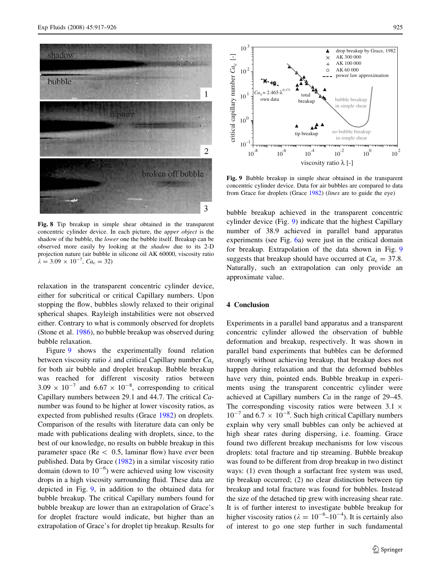<span id="page-9-0"></span>

Fig. 8 Tip breakup in simple shear obtained in the transparent concentric cylinder device. In each picture, the upper object is the shadow of the bubble, the lower one the bubble itself. Breakup can be observed more easily by looking at the shadow due to its 2-D projection nature (air bubble in silicone oil AK 60000, viscosity ratio  $\lambda = 3.09 \times 10^{-7}, C a_{\rm c} = 32$ 

relaxation in the transparent concentric cylinder device, either for subcritical or critical Capillary numbers. Upon stopping the flow, bubbles slowly relaxed to their original spherical shapes. Rayleigh instabilities were not observed either. Contrary to what is commonly observed for droplets (Stone et al. [1986](#page-10-0)), no bubble breakup was observed during bubble relaxation.

Figure 9 shows the experimentally found relation between viscosity ratio  $\lambda$  and critical Capillary number  $Ca<sub>c</sub>$ for both air bubble and droplet breakup. Bubble breakup was reached for different viscosity ratios between  $3.09 \times 10^{-7}$  and  $6.67 \times 10^{-8}$ , corresponding to critical Capillary numbers between 29.1 and 44.7. The critical Canumber was found to be higher at lower viscosity ratios, as expected from published results (Grace [1982\)](#page-10-0) on droplets. Comparison of the results with literature data can only be made with publications dealing with droplets, since, to the best of our knowledge, no results on bubble breakup in this parameter space ( $Re < 0.5$ , laminar flow) have ever been published. Data by Grace ([1982\)](#page-10-0) in a similar viscosity ratio domain (down to  $10^{-6}$ ) were achieved using low viscosity drops in a high viscosity surrounding fluid. These data are depicted in Fig. 9, in addition to the obtained data for bubble breakup. The critical Capillary numbers found for bubble breakup are lower than an extrapolation of Grace's for droplet fracture would indicate, but higher than an extrapolation of Grace's for droplet tip breakup. Results for



Fig. 9 Bubble breakup in simple shear obtained in the transparent concentric cylinder device. Data for air bubbles are compared to data from Grace for droplets (Grace [1982](#page-10-0)) (lines are to guide the eye)

bubble breakup achieved in the transparent concentric cylinder device (Fig. 9) indicate that the highest Capillary number of 38.9 achieved in parallel band apparatus experiments (see Fig. [6a](#page-7-0)) were just in the critical domain for breakup. Extrapolation of the data shown in Fig. 9 suggests that breakup should have occurred at  $Ca<sub>c</sub> = 37.8$ . Naturally, such an extrapolation can only provide an approximate value.

### 4 Conclusion

Experiments in a parallel band apparatus and a transparent concentric cylinder allowed the observation of bubble deformation and breakup, respectively. It was shown in parallel band experiments that bubbles can be deformed strongly without achieving breakup, that breakup does not happen during relaxation and that the deformed bubbles have very thin, pointed ends. Bubble breakup in experiments using the transparent concentric cylinder were achieved at Capillary numbers Ca in the range of 29–45. The corresponding viscosity ratios were between  $3.1 \times$  $10^{-7}$  and  $6.7 \times 10^{-8}$ . Such high critical Capillary numbers explain why very small bubbles can only be achieved at high shear rates during dispersing, i.e. foaming. Grace found two different breakup mechanisms for low viscous droplets: total fracture and tip streaming. Bubble breakup was found to be different from drop breakup in two distinct ways: (1) even though a surfactant free system was used, tip breakup occurred; (2) no clear distinction between tip breakup and total fracture was found for bubbles. Instead the size of the detached tip grew with increasing shear rate. It is of further interest to investigate bubble breakup for higher viscosity ratios ( $\lambda = 10^{-6}$ – $10^{-4}$ ). It is certainly also of interest to go one step further in such fundamental